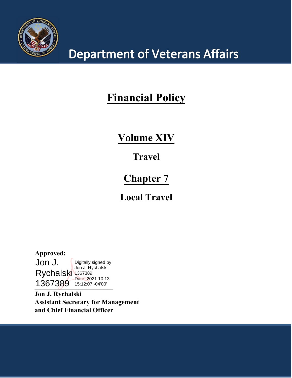

## **Department of Veterans Affairs**

## **Financial Policy**

## **Volume XIV**

### **Travel**

### **Chapter 7**

### **Local Travel**

1367389 15:12:07 -04'00' **Approved:** Jon J. Rychalski 1367389 Digitally signed by Jon J. Rychalski Date: 2021.10.13

**Jon J. Rychalski Assistant Secretary for Management and Chief Financial Officer**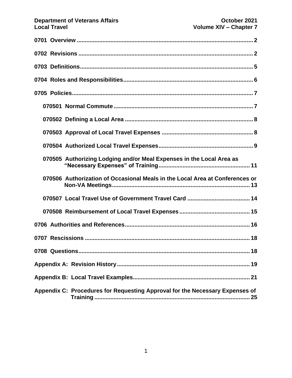| 070505 Authorizing Lodging and/or Meal Expenses in the Local Area as         |
|------------------------------------------------------------------------------|
| 070506 Authorization of Occasional Meals in the Local Area at Conferences or |
|                                                                              |
|                                                                              |
|                                                                              |
|                                                                              |
| 18<br>0708 Questions                                                         |
|                                                                              |
|                                                                              |
| Appendix C: Procedures for Requesting Approval for the Necessary Expenses of |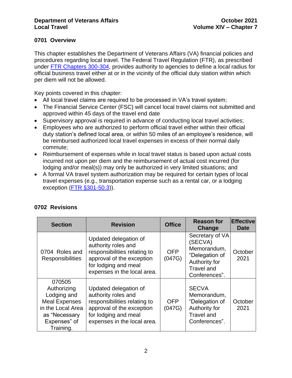#### <span id="page-2-0"></span>**0701 Overview**

This chapter establishes the Department of Veterans Affairs (VA) financial policies and procedures regarding local travel. The Federal Travel Regulation (FTR), as prescribed under [FTR Chapters 300-304,](https://www.ecfr.gov/cgi-bin/text-idx?gp=&SID=904986730b04a8033358f586de32c1f0&mc=true&tpl=/ecfrbrowse/Title41/41subtitleF.tpl) provides authority to agencies to define a local radius for official business travel either at or in the vicinity of the official duty station within which per diem will not be allowed.

Key points covered in this chapter:

- All local travel claims are required to be processed in VA's travel system;
- The Financial Service Center (FSC) will cancel local travel claims not submitted and approved within 45 days of the travel end date
- Supervisory approval is required in advance of conducting local travel activities;
- Employees who are authorized to perform official travel either within their official duty station's defined local area, or within 50 miles of an employee's residence, will be reimbursed authorized local travel expenses in excess of their normal daily commute;
- Reimbursement of expenses while in local travel status is based upon actual costs incurred not upon per diem and the reimbursement of actual cost incurred (for lodging and/or meal(s)) may only be authorized in very limited situations; and
- A formal VA travel system authorization may be required for certain types of local travel expenses (e.g., transportation expense such as a rental car, or a lodging exception [\(FTR §301-50.3\)](https://www.gsa.gov/policy-regulations/regulations/federal-travel-regulation-ftr?asset=101537)).

| <b>Section</b>                                                                                                                  | <b>Revision</b>                                                                                                                                                  | <b>Office</b>        | <b>Reason for</b><br>Change                                                                                        | <b>Effective</b><br><b>Date</b> |
|---------------------------------------------------------------------------------------------------------------------------------|------------------------------------------------------------------------------------------------------------------------------------------------------------------|----------------------|--------------------------------------------------------------------------------------------------------------------|---------------------------------|
| 0704 Roles and<br><b>Responsibilities</b>                                                                                       | Updated delegation of<br>authority roles and<br>responsibilities relating to<br>approval of the exception<br>for lodging and meal<br>expenses in the local area. | <b>OFP</b><br>(047G) | Secretary of VA<br>(SECVA)<br>Memorandum,<br>"Delegation of<br>Authority for<br><b>Travel and</b><br>Conferences". | October<br>2021                 |
| 070505<br>Authorizing<br>Lodging and<br><b>Meal Expenses</b><br>in the Local Area<br>as "Necessary<br>Expenses" of<br>Training. | Updated delegation of<br>authority roles and<br>responsibilities relating to<br>approval of the exception<br>for lodging and meal<br>expenses in the local area. | <b>OFP</b><br>(047G) | <b>SECVA</b><br>Memorandum,<br>"Delegation of<br>Authority for<br><b>Travel and</b><br>Conferences".               | October<br>2021                 |

#### <span id="page-2-1"></span>**0702 Revisions**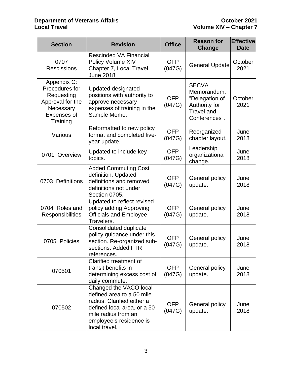| <b>Section</b>                                                                                          | <b>Revision</b>                                                                                                                                                                     | <b>Office</b>        | <b>Reason for</b><br>Change                                                                          | <b>Effective</b><br><b>Date</b> |
|---------------------------------------------------------------------------------------------------------|-------------------------------------------------------------------------------------------------------------------------------------------------------------------------------------|----------------------|------------------------------------------------------------------------------------------------------|---------------------------------|
| 0707<br><b>Rescissions</b>                                                                              | <b>Rescinded VA Financial</b><br>Policy Volume XIV<br>Chapter 7, Local Travel,<br><b>June 2018</b>                                                                                  | <b>OFP</b><br>(047G) | <b>General Update</b>                                                                                | October<br>2021                 |
| Appendix C:<br>Procedures for<br>Requesting<br>Approval for the<br>Necessary<br>Expenses of<br>Training | <b>Updated designated</b><br>positions with authority to<br>approve necessary<br>expenses of training in the<br>Sample Memo.                                                        | <b>OFP</b><br>(047G) | <b>SECVA</b><br>Memorandum,<br>"Delegation of<br>Authority for<br><b>Travel and</b><br>Conferences". | October<br>2021                 |
| Various                                                                                                 | Reformatted to new policy<br>format and completed five-<br>year update.                                                                                                             | <b>OFP</b><br>(047G) | Reorganized<br>chapter layout.                                                                       | June<br>2018                    |
| Overview<br>0701                                                                                        | Updated to include key<br>topics.                                                                                                                                                   | <b>OFP</b><br>(047G) | Leadership<br>organizational<br>change.                                                              | June<br>2018                    |
| 0703 Definitions                                                                                        | <b>Added Commuting Cost</b><br>definition. Updated<br>definitions and removed<br>definitions not under<br>Section 0705.                                                             | <b>OFP</b><br>(047G) | General policy<br>update.                                                                            | June<br>2018                    |
| 0704 Roles and<br><b>Responsibilities</b>                                                               | Updated to reflect revised<br>policy adding Approving<br><b>Officials and Employee</b><br>Travelers.                                                                                | <b>OFP</b><br>(047G) | General policy<br>update.                                                                            | June<br>2018                    |
| 0705 Policies                                                                                           | Consolidated duplicate<br>policy guidance under this<br>section. Re-organized sub-<br>sections. Added FTR<br>references.                                                            | <b>OFP</b><br>(047G) | General policy<br>update.                                                                            | June<br>2018                    |
| 070501                                                                                                  | Clarified treatment of<br>transit benefits in<br>determining excess cost of<br>daily commute.                                                                                       | <b>OFP</b><br>(047G) | General policy<br>update.                                                                            | June<br>2018                    |
| 070502                                                                                                  | Changed the VACO local<br>defined area to a 50 mile<br>radius. Clarified either a<br>defined local area, or a 50<br>mile radius from an<br>employee's residence is<br>local travel. | <b>OFP</b><br>(047G) | General policy<br>update.                                                                            | June<br>2018                    |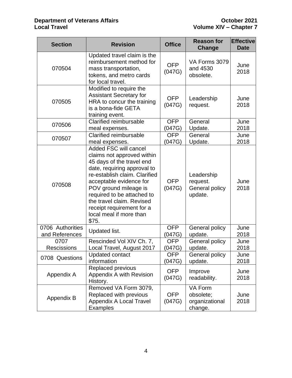| <b>Section</b>                     | <b>Revision</b>                                                                                                                                                                                                                                                                                                                  | <b>Office</b>        | <b>Reason for</b><br>Change                         | <b>Effective</b><br><b>Date</b> |
|------------------------------------|----------------------------------------------------------------------------------------------------------------------------------------------------------------------------------------------------------------------------------------------------------------------------------------------------------------------------------|----------------------|-----------------------------------------------------|---------------------------------|
| 070504                             | Updated travel claim is the<br>reimbursement method for<br>mass transportation,<br>tokens, and metro cards<br>for local travel.                                                                                                                                                                                                  | <b>OFP</b><br>(047G) | VA Forms 3079<br>and 4530<br>obsolete.              | June<br>2018                    |
| 070505                             | Modified to require the<br><b>Assistant Secretary for</b><br>HRA to concur the training<br>is a bona-fide GETA<br>training event.                                                                                                                                                                                                | <b>OFP</b><br>(047G) | Leadership<br>request.                              | June<br>2018                    |
| 070506                             | <b>Clarified reimbursable</b><br>meal expenses.                                                                                                                                                                                                                                                                                  | <b>OFP</b><br>(047G) | General<br>Update.                                  | June<br>2018                    |
| 070507                             | <b>Clarified reimbursable</b><br>meal expenses.                                                                                                                                                                                                                                                                                  | <b>OFP</b><br>(047G) | General<br>Update.                                  | June<br>2018                    |
| 070508                             | Added FSC will cancel<br>claims not approved within<br>45 days of the travel end<br>date, requiring approval to<br>re-establish claim. Clarified<br>acceptable evidence for<br>POV ground mileage is<br>required to be attached to<br>the travel claim. Revised<br>receipt requirement for a<br>local meal if more than<br>\$75. | <b>OFP</b><br>(047G) | Leadership<br>request.<br>General policy<br>update. | June<br>2018                    |
| 0706 Authorities<br>and References | Updated list.                                                                                                                                                                                                                                                                                                                    | <b>OFP</b><br>(047G) | General policy<br>update.                           | June<br>2018                    |
| 0707<br><b>Rescissions</b>         | Rescinded Vol XIV Ch. 7,<br>Local Travel, August 2017                                                                                                                                                                                                                                                                            | <b>OFP</b><br>(047G) | General policy<br>update.                           | June<br>2018                    |
| 0708 Questions                     | <b>Updated contact</b><br>information                                                                                                                                                                                                                                                                                            | <b>OFP</b><br>(047G) | General policy<br>update.                           | June<br>2018                    |
| Appendix A                         | Replaced previous<br>Appendix A with Revision<br>History.                                                                                                                                                                                                                                                                        | <b>OFP</b><br>(047G) | Improve<br>readability.                             | June<br>2018                    |
| Appendix B                         | Removed VA Form 3079,<br>Replaced with previous<br>Appendix A Local Travel<br><b>Examples</b>                                                                                                                                                                                                                                    | <b>OFP</b><br>(047G) | VA Form<br>obsolete;<br>organizational<br>change.   | June<br>2018                    |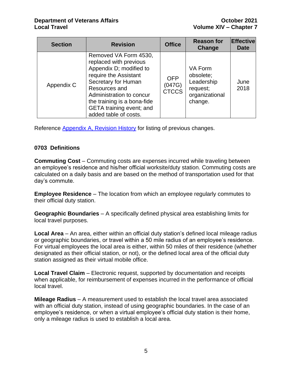| <b>Section</b> | <b>Revision</b>                                                                                                                                                                                                                                             | <b>Office</b>                        | <b>Reason for</b><br>Change                                                 | <b>Effective</b><br><b>Date</b> |
|----------------|-------------------------------------------------------------------------------------------------------------------------------------------------------------------------------------------------------------------------------------------------------------|--------------------------------------|-----------------------------------------------------------------------------|---------------------------------|
| Appendix C     | Removed VA Form 4530,<br>replaced with previous<br>Appendix D; modified to<br>require the Assistant<br>Secretary for Human<br>Resources and<br>Administration to concur<br>the training is a bona-fide<br>GETA training event; and<br>added table of costs. | <b>OFP</b><br>(047G)<br><b>CTCCS</b> | VA Form<br>obsolete;<br>Leadership<br>request;<br>organizational<br>change. | June<br>2018                    |

Reference [Appendix A, Revision History](#page-19-0) for listing of previous changes.

#### <span id="page-5-0"></span>**0703 Definitions**

**Commuting Cost** – Commuting costs are expenses incurred while traveling between an employee's residence and his/her official worksite/duty station. Commuting costs are calculated on a daily basis and are based on the method of transportation used for that day's commute.

<span id="page-5-1"></span>**Employee Residence** – The location from which an employee regularly commutes to their official duty station.

**Geographic Boundaries** – A specifically defined physical area establishing limits for local travel purposes.

**Local Area** – An area, either within an official duty station's defined local mileage radius or geographic boundaries, or travel within a 50 mile radius of an employee's residence. For virtual employees the local area is either, within 50 miles of their residence (whether designated as their official station, or not), or the defined local area of the official duty station assigned as their virtual mobile office.

**Local Travel Claim** – Electronic request, supported by documentation and receipts when applicable, for reimbursement of expenses incurred in the performance of official local travel.

**Mileage Radius** – A measurement used to establish the local travel area associated with an official duty station, instead of using geographic boundaries. In the case of an employee's residence, or when a virtual employee's official duty station is their home, only a mileage radius is used to establish a local area.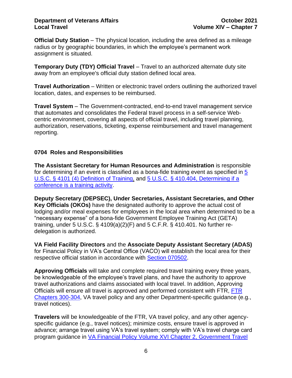#### **Department of Veterans Affairs <b>Community October 2021 Local Travel Volume XIV – Chapter 7**

**Official Duty Station** – The physical location, including the area defined as a mileage radius or by geographic boundaries, in which the employee's permanent work assignment is situated.

**Temporary Duty (TDY) Official Travel** – Travel to an authorized alternate duty site away from an employee's official duty station defined local area.

**Travel Authorization** – Written or electronic travel orders outlining the authorized travel location, dates, and expenses to be reimbursed.

**Travel System** – The Government-contracted, end-to-end travel management service that automates and consolidates the Federal travel process in a self-service Webcentric environment, covering all aspects of official travel, including travel planning, authorization, reservations, ticketing, expense reimbursement and travel management reporting.

#### <span id="page-6-0"></span>**0704 Roles and Responsibilities**

**The Assistant Secretary for Human Resources and Administration** is responsible for determining if an event is classified as a bona-fide training event as specified in [5](https://www.gpo.gov/fdsys/pkg/USCODE-1994-title5/pdf/USCODE-1994-title5-partIII-subpartC-chap41-sec4101.pdf)  [U.S.C. § 4101 \(4\) Definition of Training,](https://www.gpo.gov/fdsys/pkg/USCODE-1994-title5/pdf/USCODE-1994-title5-partIII-subpartC-chap41-sec4101.pdf) and [5 U.S.C. § 410.404, Determining if a](https://www.gpo.gov/fdsys/pkg/CFR-2012-title5-vol1/pdf/CFR-2012-title5-vol1-part410.pdf)  [conference is a training activity.](https://www.gpo.gov/fdsys/pkg/CFR-2012-title5-vol1/pdf/CFR-2012-title5-vol1-part410.pdf)

**Deputy Secretary (DEPSEC), Under Secretaries, Assistant Secretaries, and Other Key Officials (OKOs)** have the designated authority to approve the actual cost of lodging and/or meal expenses for employees in the local area when determined to be a "necessary expense" of a bona-fide Government Employee Training Act (GETA) training, under 5 U.S.C. § 4109(a)(2)(F) and 5 C.F.R. § 410.401. No further redelegation is authorized.

**VA Field Facility Directors** and the **Associate Deputy Assistant Secretary (ADAS)** for Financial Policy in VA's Central Office (VACO) will establish the local area for their respective official station in accordance with [Section 070502.](#page-7-2)

**Approving Officials** will take and complete required travel training every three years, be knowledgeable of the employee's travel plans, and have the authority to approve travel authorizations and claims associated with local travel. In addition, Approving Officials will ensure all travel is approved and performed consistent with FTR, [FTR](https://www.ecfr.gov/cgi-bin/text-idx?gp=&SID=904986730b04a8033358f586de32c1f0&mc=true&tpl=/ecfrbrowse/Title41/41subtitleF.tpl)  [Chapters 300-304,](https://www.ecfr.gov/cgi-bin/text-idx?gp=&SID=904986730b04a8033358f586de32c1f0&mc=true&tpl=/ecfrbrowse/Title41/41subtitleF.tpl) VA travel policy and any other Department-specific guidance (e.g., travel notices).

**Travelers** will be knowledgeable of the FTR, VA travel policy, and any other agencyspecific guidance (e.g., travel notices); minimize costs, ensure travel is approved in advance; arrange travel using VA's travel system; comply with VA's travel charge card program guidance in [VA Financial Policy Volume XVI Chapter 2, Government Travel](https://www.va.gov/finance/docs/VA-FinancialPolicyVolumeXVIChapter02.pdf)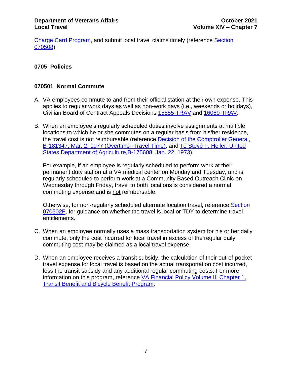[Charge Card Program,](https://www.va.gov/finance/docs/VA-FinancialPolicyVolumeXVIChapter02.pdf) and submit local travel claims timely (reference [Section](#page-15-0)  [070508\)](#page-15-0).

#### <span id="page-7-0"></span>**0705 Policies**

#### <span id="page-7-1"></span>**070501 Normal Commute**

- A. VA employees commute to and from their official station at their own expense. This applies to regular work days as well as non-work days (i.e., weekends or holidays), Civilian Board of Contract Appeals Decisions [15655-TRAV](https://www.gsbca.gsa.gov/travel/t1565528.txt) and [16069-TRAV.](https://www.gsbca.gsa.gov/travel/t1606906.txt)
- B. When an employee's regularly scheduled duties involve assignments at multiple locations to which he or she commutes on a regular basis from his/her residence, the travel cost is not reimbursable (reference [Decision of the Comptroller General,](http://archive.gao.gov/lglpdf33/100878.pdf)  [B-181347, Mar. 2, 1977 \(Overtime--Travel Time\),](http://archive.gao.gov/lglpdf33/100878.pdf) and [To Steve F. Heller, United](https://www.gao.gov/products/443697)  [States Department of Agriculture,B-175608, Jan. 22, 1973\)](https://www.gao.gov/products/443697).

For example, if an employee is regularly scheduled to perform work at their permanent duty station at a VA medical center on Monday and Tuesday, and is regularly scheduled to perform work at a Community Based Outreach Clinic on Wednesday through Friday, travel to both locations is considered a normal commuting expense and is not reimbursable.

Otherwise, for non-regularly scheduled alternate location travel, reference [Section](#page-8-2)  [070502F,](#page-8-2) for guidance on whether the travel is local or TDY to determine travel entitlements.

- C. When an employee normally uses a mass transportation system for his or her daily commute, only the cost incurred for local travel in excess of the regular daily commuting cost may be claimed as a local travel expense.
- <span id="page-7-2"></span>D. When an employee receives a transit subsidy, the calculation of their out-of-pocket travel expense for local travel is based on the actual transportation cost incurred, less the transit subsidy and any additional regular commuting costs. For more information on this program, reference VA Financial Policy Volume III Chapter 1, [Transit Benefit and Bicycle Benefit Program.](https://www.va.gov/finance/docs/VA-FinancialPolicyVolumeIIIChapter01.pdf)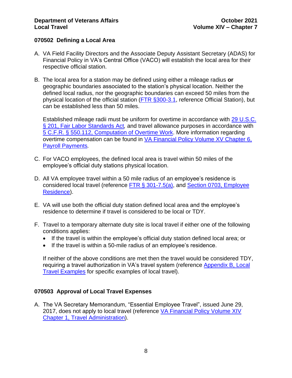#### <span id="page-8-0"></span>**070502 Defining a Local Area**

- A. VA Field Facility Directors and the Associate Deputy Assistant Secretary (ADAS) for Financial Policy in VA's Central Office (VACO) will establish the local area for their respective official station.
- B. The local area for a station may be defined using either a mileage radius **or** geographic boundaries associated to the station's physical location. Neither the defined local radius, nor the geographic boundaries can exceed 50 miles from the physical location of the official station [\(FTR §300-3.1,](https://www.gsa.gov/policy-regulations/regulations/federal-travel-regulation-ftr?asset=101485) reference Official Station), but can be established less than 50 miles.

Established mileage radii must be uniform for overtime in accordance with [29 U.S.C.](https://www.gpo.gov/fdsys/pkg/USCODE-2011-title29/html/USCODE-2011-title29-chap8.htm)  [§ 201, Fair Labor Standards Act](https://www.gpo.gov/fdsys/pkg/USCODE-2011-title29/html/USCODE-2011-title29-chap8.htm)*,* and travel allowance purposes in accordance with [5 C.F.R. § 550.112, Computation of Overtime Work.](https://www.gpo.gov/fdsys/search/pagedetails.action?granuleId=CFR-2011-title5-vol1-sec550-112&packageId=CFR-2011-title5-vol1) More information regarding overtime compensation can be found in [VA Financial Policy Volume XV Chapter 6,](https://www.va.gov/finance/policy/pubs/volumeXV.asp)  [Payroll Payments](https://www.va.gov/finance/policy/pubs/volumeXV.asp)*.*

- C. For VACO employees, the defined local area is travel within 50 miles of the employee's official duty stations physical location.
- D. All VA employee travel within a 50 mile radius of an employee's residence is considered local travel (reference [FTR § 301-7.5\(a\),](https://www.gpo.gov/fdsys/pkg/CFR-1997-title41-vol4/pdf/CFR-1997-title41-vol4-sec301-7-6.pdf) and [Section 0703, Employee](#page-5-1)  [Residence\)](#page-5-1).
- E. VA will use both the official duty station defined local area and the employee's residence to determine if travel is considered to be local or TDY.
- <span id="page-8-2"></span>F. Travel to a temporary alternate duty site is local travel if either one of the following conditions applies:
	- If the travel is within the employee's official duty station defined local area; or
	- If the travel is within a 50-mile radius of an employee's residence.

If neither of the above conditions are met then the travel would be considered TDY, requiring a travel authorization in VA's travel system (reference [Appendix B, Local](#page-21-0)  [Travel Examples](#page-21-0) for specific examples of local travel).

#### <span id="page-8-1"></span>**070503 Approval of Local Travel Expenses**

A. The VA Secretary Memorandum, "Essential Employee Travel", issued June 29, 2017, does not apply to local travel (reference [VA Financial Policy Volume XIV](https://www.va.gov/finance/docs/VA-FinancialPolicyVolumeXIVChapter01.pdf)  [Chapter 1, Travel Administration\)](https://www.va.gov/finance/docs/VA-FinancialPolicyVolumeXIVChapter01.pdf).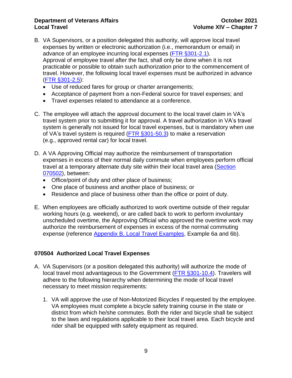- B. VA Supervisors, or a position delegated this authority, will approve local travel expenses by written or electronic authorization (i.e., memorandum or email) in advance of an employee incurring local expenses [\(FTR §301-2.1\)](https://www.gsa.gov/policy-regulations/regulations/federal-travel-regulation-ftr?asset=102283). Approval of employee travel after the fact, shall only be done when it is not practicable or possible to obtain such authorization prior to the commencement of travel. However, the following local travel expenses must be authorized in advance [\(FTR §301-2.5\)](https://www.gsa.gov/policy-regulations/regulations/federal-travel-regulation-ftr?asset=102283):
	- Use of reduced fares for group or charter arrangements;
	- Acceptance of payment from a non-Federal source for travel expenses; and
	- Travel expenses related to attendance at a conference.
- C. The employee will attach the approval document to the local travel claim in VA's travel system prior to submitting it for approval. A travel authorization in VA's travel system is generally not issued for local travel expenses, but is mandatory when use of VA's travel system is required (FTR [§301-50.3\)](https://www.gsa.gov/policy-regulations/regulations/federal-travel-regulation-ftr?asset=102253) to make a reservation (e.g., approved rental car) for local travel.
- D. A VA Approving Official may authorize the reimbursement of transportation expenses in excess of their normal daily commute when employees perform official travel at a temporary alternate duty site within their local travel area (Section [070502\)](#page-7-2), between:
	- Office/point of duty and other place of business;
	- One place of business and another place of business; or
	- Residence and place of business other than the office or point of duty.
- E. When employees are officially authorized to work overtime outside of their regular working hours (e.g. weekend), or are called back to work to perform involuntary unscheduled overtime, the Approving Official who approved the overtime work may authorize the reimbursement of expenses in excess of the normal commuting expense (reference [Appendix B, Local Travel Examples,](#page-21-0) Example 6a and 6b).

#### <span id="page-9-0"></span>**070504 Authorized Local Travel Expenses**

- A. VA Supervisors (or a position delegated this authority) will authorize the mode of local travel most advantageous to the Government [\(FTR §301-10.4\)](https://www.gsa.gov/policy-regulations/regulations/federal-travel-regulation-ftr?asset=101488). Travelers will adhere to the following hierarchy when determining the mode of local travel necessary to meet mission requirements:
	- 1. VA will approve the use of Non-Motorized Bicycles if requested by the employee. VA employees must complete a bicycle safety training course in the state or district from which he/she commutes. Both the rider and bicycle shall be subject to the laws and regulations applicable to their local travel area. Each bicycle and rider shall be equipped with safety equipment as required.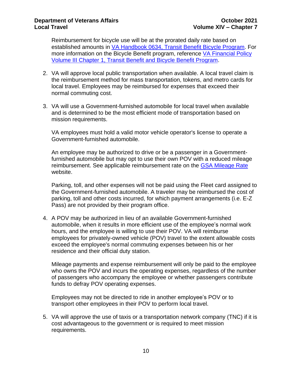Reimbursement for bicycle use will be at the prorated daily rate based on established amounts in [VA Handbook 0634, Transit Benefit Bicycle Program.](https://www1.va.gov/vapubs/search_action.cfm?dType=2) For more information on the Bicycle Benefit program, reference [VA Financial Policy](https://www.va.gov/finance/docs/VA-FinancialPolicyVolumeIIIChapter01.pdf)  [Volume III Chapter 1, Transit Benefit and Bicycle Benefit Program.](https://www.va.gov/finance/docs/VA-FinancialPolicyVolumeIIIChapter01.pdf)

- 2. VA will approve local public transportation when available. A local travel claim is the reimbursement method for mass transportation, tokens, and metro cards for local travel. Employees may be reimbursed for expenses that exceed their normal commuting cost.
- 3. VA will use a Government-furnished automobile for local travel when available and is determined to be the most efficient mode of transportation based on mission requirements.

VA employees must hold a valid motor vehicle operator's license to operate a Government-furnished automobile.

An employee may be authorized to drive or be a passenger in a Governmentfurnished automobile but may opt to use their own POV with a reduced mileage reimbursement. See applicable reimbursement rate on the [GSA Mileage Rate](https://www.gsa.gov/travel/plan-book/transportation-airfare-rates-pov-rates-etc/privately-owned-vehicle-pov-mileage-reimbursement-rates) website.

Parking, toll, and other expenses will not be paid using the Fleet card assigned to the Government-furnished automobile. A traveler may be reimbursed the cost of parking, toll and other costs incurred, for which payment arrangements (i.e. E-Z Pass) are not provided by their program office.

4. A POV may be authorized in lieu of an available Government-furnished automobile, when it results in more efficient use of the employee's normal work hours, and the employee is willing to use their POV. VA will reimburse employees for privately-owned vehicle (POV) travel to the extent allowable costs exceed the employee's normal commuting expenses between his or her residence and their official duty station.

Mileage payments and expense reimbursement will only be paid to the employee who owns the POV and incurs the operating expenses, regardless of the number of passengers who accompany the employee or whether passengers contribute funds to defray POV operating expenses.

Employees may not be directed to ride in another employee's POV or to transport other employees in their POV to perform local travel.

5. VA will approve the use of taxis or a transportation network company (TNC) if it is cost advantageous to the government or is required to meet mission requirements.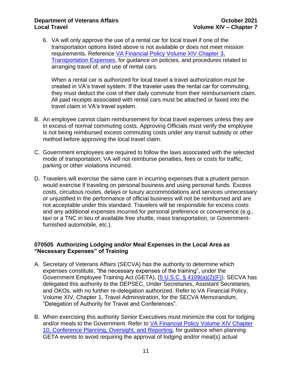6. VA will only approve the use of a rental car for local travel if one of the transportation options listed above is not available or does not meet mission requirements. Reference [VA Financial Policy Volume XIV Chapter](https://www.va.gov/finance/docs/VA-FinancialPolicyVolumeXIVChapter03.pdf) 3, [Transportation Expenses,](https://www.va.gov/finance/docs/VA-FinancialPolicyVolumeXIVChapter03.pdf) for guidance on policies, and procedures related to arranging travel of, and use of rental cars.

When a rental car is authorized for local travel a travel authorization must be created in VA's travel system. If the traveler uses the rental car for commuting, they must deduct the cost of their daily commute from their reimbursement claim. All paid receipts associated with rental cars must be attached or faxed into the travel claim in VA's travel system.

- B. An employee cannot claim reimbursement for local travel expenses unless they are in excess of normal commuting costs. Approving Officials must verify the employee is not being reimbursed excess commuting costs under any transit subsidy or other method before approving the local travel claim.
- C. Government employees are required to follow the laws associated with the selected mode of transportation; VA will not reimburse penalties, fees or costs for traffic, parking or other violations incurred.
- D. Travelers will exercise the same care in incurring expenses that a prudent person would exercise if traveling on personal business and using personal funds. Excess costs, circuitous routes, delays or luxury accommodations and services unnecessary or unjustified in the performance of official business will not be reimbursed and are not acceptable under this standard. Travelers will be responsible for excess costs and any additional expenses incurred for personal preference or convenience (e.g., taxi or a TNC in lieu of available free shuttle, mass transportation, or Governmentfurnished automobile, etc.).

#### <span id="page-11-0"></span>**070505 Authorizing Lodging and/or Meal Expenses in the Local Area as "Necessary Expenses" of Training**

- A. Secretary of Veterans Affairs (SECVA) has the authority to determine which expenses constitute, "the necessary expenses of the training", under the Government Employee Training Act (GETA), [\(5 U.S.C. § 4109\(a\)\(2\)\(F\)\)](https://www.gpo.gov/fdsys/pkg/USCODE-2011-title5/pdf/USCODE-2011-title5-partIII-subpartC-chap41-sec4109.pdf). SECVA has delegated this authority to the DEPSEC, Under Secretaries, Assistant Secretaries, and OKOs, with no further re-delegation authorized. Refer to VA Financial Policy, Volume XIV, Chapter 1, Travel Administration, for the SECVA Memorandum, "Delegation of Authority for Travel and Conferences".
- B. When exercising this authority Senior Executives must minimize the cost for lodging and/or meals to the Government. Refer to [VA Financial Policy Volume XIV Chapter](https://www.va.gov/finance/docs/VA-FinancialPolicyVolumeXIVChapter10.pdf)  [10, Conference Planning, Oversight, and Reporting,](https://www.va.gov/finance/docs/VA-FinancialPolicyVolumeXIVChapter10.pdf) for guidance when planning GETA events to avoid requiring the approval of lodging and/or meal(s) actual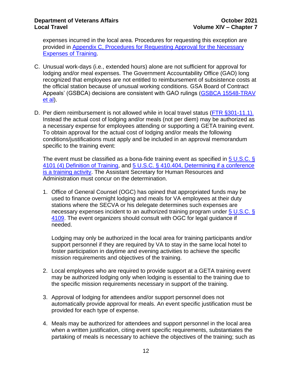expenses incurred in the local area. Procedures for requesting this exception are provided in [Appendix C, Procedures for Requesting Approval for the Necessary](#page-25-0)  [Expenses of Training.](#page-25-0)

- C. Unusual work-days (i.e., extended hours) alone are not sufficient for approval for lodging and/or meal expenses. The Government Accountability Office (GAO) long recognized that employees are not entitled to reimbursement of subsistence costs at the official station because of unusual working conditions. GSA Board of Contract Appeals' (GSBCA) decisions are consistent with GAO rulings [\(GSBCA 15548-TRAV](https://www.gsbca.gsa.gov/travel/u1555814.pdf)  [et al\)](https://www.gsbca.gsa.gov/travel/u1555814.pdf).
- D. Per diem reimbursement is not allowed while in local travel status [\(FTR §301-11.1\)](https://www.gsa.gov/policy-regulations/regulations/federal-travel-regulation-ftr?asset=101524). Instead the actual cost of lodging and/or meals (not per diem) may be authorized as a necessary expense for employees attending or supporting a GETA training event. To obtain approval for the actual cost of lodging and/or meals the following conditions/justifications must apply and be included in an approval memorandum specific to the training event:

The event must be classified as a bona-fide training event as specified in [5 U.S.C. §](https://www.gpo.gov/fdsys/pkg/USCODE-1994-title5/pdf/USCODE-1994-title5-partIII-subpartC-chap41-sec4101.pdf)  [4101 \(4\) Definition of Training,](https://www.gpo.gov/fdsys/pkg/USCODE-1994-title5/pdf/USCODE-1994-title5-partIII-subpartC-chap41-sec4101.pdf) and [5 U.S.C. § 410.404, Determining if a conference](https://www.gpo.gov/fdsys/pkg/CFR-2012-title5-vol1/pdf/CFR-2012-title5-vol1-part410.pdf)  [is a training activity.](https://www.gpo.gov/fdsys/pkg/CFR-2012-title5-vol1/pdf/CFR-2012-title5-vol1-part410.pdf) The Assistant Secretary for Human Resources and Administration must concur on the determination.

1. Office of General Counsel (OGC) has opined that appropriated funds may be used to finance overnight lodging and meals for VA employees at their duty stations where the SECVA or his delegate determines such expenses are necessary expenses incident to an authorized training program under 5 U.S.C. § [4109.](https://www.gpo.gov/fdsys/pkg/USCODE-2011-title5/pdf/USCODE-2011-title5-partIII-subpartC-chap41-sec4109.pdf) The event organizers should consult with OGC for legal guidance if needed.

Lodging may only be authorized in the local area for training participants and/or support personnel if they are required by VA to stay in the same local hotel to foster participation in daytime and evening activities to achieve the specific mission requirements and objectives of the training.

- 2. Local employees who are required to provide support at a GETA training event may be authorized lodging only when lodging is essential to the training due to the specific mission requirements necessary in support of the training.
- 3. Approval of lodging for attendees and/or support personnel does not automatically provide approval for meals. An event specific justification must be provided for each type of expense.
- 4. Meals may be authorized for attendees and support personnel in the local area when a written justification, citing event specific requirements, substantiates the partaking of meals is necessary to achieve the objectives of the training; such as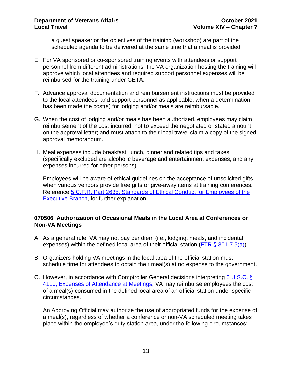a guest speaker or the objectives of the training (workshop) are part of the scheduled agenda to be delivered at the same time that a meal is provided.

- E. For VA sponsored or co-sponsored training events with attendees or support personnel from different administrations, the VA organization hosting the training will approve which local attendees and required support personnel expenses will be reimbursed for the training under GETA.
- F. Advance approval documentation and reimbursement instructions must be provided to the local attendees, and support personnel as applicable, when a determination has been made the cost(s) for lodging and/or meals are reimbursable.
- G. When the cost of lodging and/or meals has been authorized, employees may claim reimbursement of the cost incurred, not to exceed the negotiated or stated amount on the approval letter; and must attach to their local travel claim a copy of the signed approval memorandum.
- H. Meal expenses include breakfast, lunch, dinner and related tips and taxes (specifically excluded are alcoholic beverage and entertainment expenses, and any expenses incurred for other persons).
- I. Employees will be aware of ethical guidelines on the acceptance of unsolicited gifts when various vendors provide free gifts or give-away items at training conferences. Reference [5 C.F.R. Part 2635, Standards of Ethical Conduct for Employees of the](https://www.gpo.gov/fdsys/pkg/CFR-2011-title5-vol3/pdf/CFR-2011-title5-vol3-part2635.pdf)  [Executive Branch,](https://www.gpo.gov/fdsys/pkg/CFR-2011-title5-vol3/pdf/CFR-2011-title5-vol3-part2635.pdf) for further explanation.

#### <span id="page-13-0"></span>**070506 Authorization of Occasional Meals in the Local Area at Conferences or Non-VA Meetings**

- A. As a general rule, VA may not pay per diem (i.e., lodging, meals, and incidental expenses) within the defined local area of their official station (FTR  $\S$  301-7.5(a)).
- B. Organizers holding VA meetings in the local area of the official station must schedule time for attendees to obtain their meal(s) at no expense to the government.
- C. However, in accordance with Comptroller General decisions interpreting [5 U.S.C. §](https://www.gpo.gov/fdsys/granule/USCODE-2010-title5/USCODE-2010-title5-partIII-subpartC-chap41-sec4110)  [4110, Expenses of Attendance at Meetings,](https://www.gpo.gov/fdsys/granule/USCODE-2010-title5/USCODE-2010-title5-partIII-subpartC-chap41-sec4110) VA may reimburse employees the cost of a meal(s) consumed in the defined local area of an official station under specific circumstances.

An Approving Official may authorize the use of appropriated funds for the expense of a meal(s), regardless of whether a conference or non-VA scheduled meeting takes place within the employee's duty station area, under the following circumstances: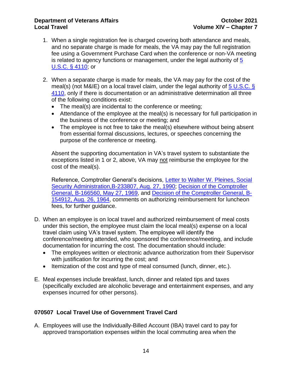- 1. When a single registration fee is charged covering both attendance and meals, and no separate charge is made for meals, the VA may pay the full registration fee using a Government Purchase Card when the conference or non-VA meeting is related to agency functions or management, under the legal authority of  $5$ [U.S.C. § 4110;](https://www.gpo.gov/fdsys/pkg/USCODE-2010-title5/pdf/USCODE-2010-title5-partIII-subpartC-chap41-sec4110.pdf) or
- 2. When a separate charge is made for meals, the VA may pay for the cost of the meal(s) (not M&IE) on a local travel claim, under the legal authority of  $5 \text{ U.S.C. }$ § [4110,](https://www.gpo.gov/fdsys/pkg/USCODE-2010-title5/pdf/USCODE-2010-title5-partIII-subpartC-chap41-sec4110.pdf) only if there is documentation or an administrative determination all three of the following conditions exist:
	- The meal(s) are incidental to the conference or meeting;
	- Attendance of the employee at the meal(s) is necessary for full participation in the business of the conference or meeting; and
	- The employee is not free to take the meal(s) elsewhere without being absent from essential formal discussions, lectures, or speeches concerning the purpose of the conference or meeting.

Absent the supporting documentation in VA's travel system to substantiate the exceptions listed in 1 or 2, above, VA may not reimburse the employee for the cost of the meal(s).

Reference, Comptroller General's decisions, [Letter to Walter W. Pleines, Social](http://www.gao.gov/assets/380/372853.pdf)  [Security Administration,B-233807, Aug. 27, 1990;](http://www.gao.gov/assets/380/372853.pdf) [Decision of the Comptroller](https://www.gao.gov/products/429838)  [General, B-166560, May 27, 1969,](https://www.gao.gov/products/429838) and [Decision of the Comptroller General, B-](http://www.gao.gov/products/433683)[154912, Aug. 26, 1964,](http://www.gao.gov/products/433683) comments on authorizing reimbursement for luncheon fees, for further guidance.

- D. When an employee is on local travel and authorized reimbursement of meal costs under this section, the employee must claim the local meal(s) expense on a local travel claim using VA's travel system. The employee will identify the conference/meeting attended, who sponsored the conference/meeting, and include documentation for incurring the cost. The documentation should include:
	- The employees written or electronic advance authorization from their Supervisor with justification for incurring the cost; and
	- Itemization of the cost and type of meal consumed (lunch, dinner, etc.).
- E. Meal expenses include breakfast, lunch, dinner and related tips and taxes (specifically excluded are alcoholic beverage and entertainment expenses, and any expenses incurred for other persons).

#### <span id="page-14-0"></span>**070507 Local Travel Use of Government Travel Card**

A. Employees will use the Individually-Billed Account (IBA) travel card to pay for approved transportation expenses within the local commuting area when the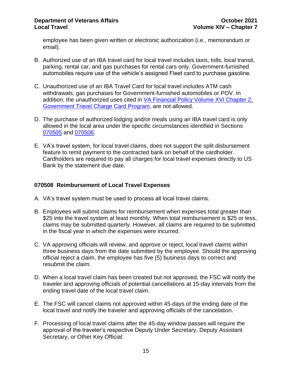employee has been given written or electronic authorization (i.e., memorandum or email).

- B. Authorized use of an IBA travel card for local travel includes taxis, tolls, local transit, parking, rental car, and gas purchases for rental cars only. Government-furnished automobiles require use of the vehicle's assigned Fleet card to purchase gasoline.
- C. Unauthorized use of an IBA Travel Card for local travel includes ATM cash withdrawals, gas purchases for Government-furnished automobiles or POV. In addition, the unauthorized uses cited in VA Financial Policy Volume XVI Chapter 2, [Government Travel Charge Card Program,](https://www.va.gov/finance/docs/VA-FinancialPolicyVolumeXVIChapter02.pdf) are not allowed.
- D. The purchase of authorized lodging and/or meals using an IBA travel card is only allowed in the local area under the specific circumstances identified in Sections [070505](#page-11-0) and [070506.](#page-13-0)
- E. VA's travel system, for local travel claims, does not support the split disbursement feature to remit payment to the contracted bank on behalf of the cardholder. Cardholders are required to pay all charges for local travel expenses directly to US Bank by the statement due date.

#### <span id="page-15-0"></span>**070508 Reimbursement of Local Travel Expenses**

- A. VA's travel system must be used to process all local travel claims.
- B. Employees will submit claims for reimbursement when expenses total greater than \$25 into the travel system at least monthly. When total reimbursement is \$25 or less, claims may be submitted quarterly. However, all claims are required to be submitted in the fiscal year in which the expenses were incurred.
- C. VA approving officials will review, and approve or reject, local travel claims within three business days from the date submitted by the employee. Should the approving official reject a claim, the employee has five (5) business days to correct and resubmit the claim.
- D. When a local travel claim has been created but not approved, the FSC will notify the traveler and approving officials of potential cancellations at 15-day intervals from the ending travel date of the local travel claim.
- E. The FSC will cancel claims not approved within 45-days of the ending date of the local travel and notify the traveler and approving officials of the cancelation.
- F. Processing of local travel claims after the 45-day window passes will require the approval of the traveler's respective Deputy Under Secretary, Deputy Assistant Secretary, or Other Key Official.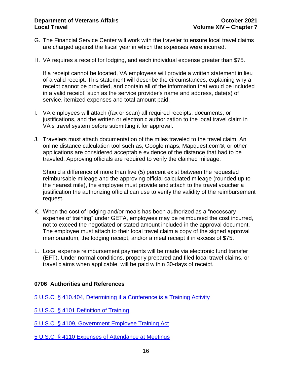- G. The Financial Service Center will work with the traveler to ensure local travel claims are charged against the fiscal year in which the expenses were incurred.
- H. VA requires a receipt for lodging, and each individual expense greater than \$75.

If a receipt cannot be located, VA employees will provide a written statement in lieu of a valid receipt. This statement will describe the circumstances, explaining why a receipt cannot be provided, and contain all of the information that would be included in a valid receipt, such as the service provider's name and address, date(s) of service, itemized expenses and total amount paid.

- I. VA employees will attach (fax or scan) all required receipts, documents, or justifications, and the written or electronic authorization to the local travel claim in VA's travel system before submitting it for approval.
- J. Travelers must attach documentation of the miles traveled to the travel claim. An online distance calculation tool such as, Google maps, Mapquest.com®, or other applications are considered acceptable evidence of the distance that had to be traveled. Approving officials are required to verify the claimed mileage.

Should a difference of more than five (5) percent exist between the requested reimbursable mileage and the approving official calculated mileage (rounded up to the nearest mile), the employee must provide and attach to the travel voucher a justification the authorizing official can use to verify the validity of the reimbursement request.

- K. When the cost of lodging and/or meals has been authorized as a "necessary expense of training" under GETA, employees may be reimbursed the cost incurred, not to exceed the negotiated or stated amount included in the approval document. The employee must attach to their local travel claim a copy of the signed approval memorandum, the lodging receipt, and/or a meal receipt if in excess of \$75.
- L. Local expense reimbursement payments will be made via electronic fund transfer (EFT). Under normal conditions, properly prepared and filed local travel claims, or travel claims when applicable, will be paid within 30-days of receipt.

#### <span id="page-16-0"></span>**0706 Authorities and References**

[5 U.S.C. § 410.404, Determining if a Conference is a Training Activity](https://www.gpo.gov/fdsys/pkg/CFR-2012-title5-vol1/pdf/CFR-2012-title5-vol1-part410.pdf)

[5 U.S.C. § 4101 Definition of Training](https://www.gpo.gov/fdsys/pkg/USCODE-1994-title5/pdf/USCODE-1994-title5-partIII-subpartC-chap41-sec4101.pdf)

[5 U.S.C. § 4109,](https://www.gpo.gov/fdsys/pkg/USCODE-2011-title5/pdf/USCODE-2011-title5-partIII-subpartC-chap41-sec4109.pdf) Government Employee Training Act

[5 U.S.C. § 4110 Expenses of Attendance at Meetings](https://www.gpo.gov/fdsys/pkg/USCODE-2010-title5/pdf/USCODE-2010-title5-partIII-subpartC-chap41-sec4110.pdf)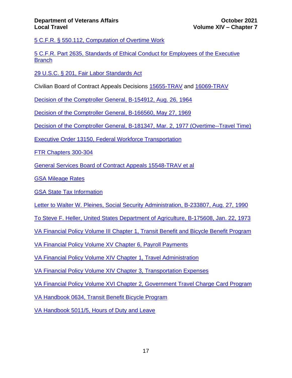[5 C.F.R. § 550.112, Computation of Overtime Work](https://www.gpo.gov/fdsys/search/pagedetails.action?granuleId=CFR-2011-title5-vol1-sec550-112&packageId=CFR-2011-title5-vol1)

[5 C.F.R. Part 2635, Standards of Ethical Conduct for Employees of the Executive](https://www.gpo.gov/fdsys/pkg/CFR-2011-title5-vol3/pdf/CFR-2011-title5-vol3-part2635.pdf)  **[Branch](https://www.gpo.gov/fdsys/pkg/CFR-2011-title5-vol3/pdf/CFR-2011-title5-vol3-part2635.pdf)** 

[29 U.S.C. § 201, Fair Labor Standards Act](https://www.gpo.gov/fdsys/pkg/USCODE-2011-title29/html/USCODE-2011-title29-chap8.htm)

Civilian Board of Contract Appeals Decisions [15655-TRAV](https://www.gsbca.gsa.gov/travel/t1565528.txt) and [16069-TRAV](https://www.gsbca.gsa.gov/travel/t1606906.txt)

[Decision of the Comptroller General, B-154912, Aug. 26, 1964](http://www.gao.gov/products/433683)

[Decision of the Comptroller General, B-166560, May 27, 1969](https://www.gao.gov/products/429838)

[Decision of the Comptroller General, B-181347, Mar. 2, 1977 \(Overtime--Travel Time\)](https://www.gao.gov/products/443697#mt=summary)

[Executive Order 13150, Federal Workforce Transportation](http://frwebgate.access.gpo.gov/cgi-bin/getdoc.cgi?dbname=2000_register&docid=fr26ap00-131.pdf)

[FTR Chapters 300-304](https://www.ecfr.gov/cgi-bin/text-idx?gp=&SID=904986730b04a8033358f586de32c1f0&mc=true&tpl=/ecfrbrowse/Title41/41subtitleF.tpl)

[General Services Board of Contract Appeals 15548-TRAV et al](https://www.gsbca.gsa.gov/travel/u1555814.pdf)

[GSA Mileage Rates](https://www.gsa.gov/travel/plan-book/transportation-airfare-rates-pov-rates-etc/privately-owned-vehicle-pov-mileage-reimbursement-rates)

[GSA State Tax Information](https://smartpay.gsa.gov/content/state-tax-information)

[Letter to Walter W. Pleines, Social Security Administration, B-233807, Aug. 27, 1990](http://www.gao.gov/assets/380/372853.pdf)

[To Steve F. Heller, United States Department of Agriculture,](https://www.gao.gov/products/443697) B-175608, Jan. 22, 1973

[VA Financial Policy Volume III Chapter 1, Transit Benefit and Bicycle Benefit Program](https://www.va.gov/finance/docs/VA-FinancialPolicyVolumeIIIChapter01.pdf)

[VA Financial Policy Volume XV Chapter 6, Payroll Payments](https://www.va.gov/finance/policy/pubs/volumeXV.asp)

[VA Financial Policy Volume XIV Chapter 1, Travel Administration](https://www.va.gov/finance/docs/VA-FinancialPolicyVolumeXIVChapter01.pdf)

[VA Financial Policy Volume XIV Chapter 3, Transportation Expenses](https://www.va.gov/finance/docs/VA-FinancialPolicyVolumeXIVChapter03.pdf)

[VA Financial Policy Volume XVI Chapter 2, Government Travel Charge Card Program](https://www.va.gov/finance/docs/VA-FinancialPolicyVolumeXVIChapter02.pdf)

[VA Handbook 0634, Transit Benefit Bicycle Program](https://www1.va.gov/vapubs/search_action.cfm?dType=2)

[VA Handbook 5011/5, Hours of Duty and Leave](https://www1.va.gov/vapubs/search_action.cfm?dType=2)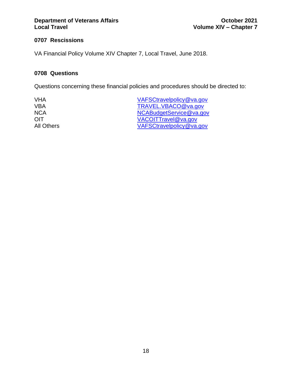### **Department of Veterans Affairs 6 and 2021**<br> **Department of Veterans Affairs Colume XIV – Chapter 7**

#### <span id="page-18-0"></span>**0707 Rescissions**

VA Financial Policy Volume XIV Chapter 7, Local Travel, June 2018.

#### <span id="page-18-1"></span>**0708 Questions**

Questions concerning these financial policies and procedures should be directed to:

VHA [VAFSCtravelpolicy@va.gov](mailto:VAFSCtravelpolicy@va.gov) VBA [TRAVEL.VBACO@va.gov](mailto:TRAVEL.VBACO@va.gov) NCA [NCABudgetService@va.gov](mailto:NCABudgetService@va.gov) OIT [VACOITTravel@va.gov](mailto:vacoittravel@va.gov) All Others [VAFSCtravelpolicy@va.gov](mailto:VAFSCtravelpolicy@va.gov)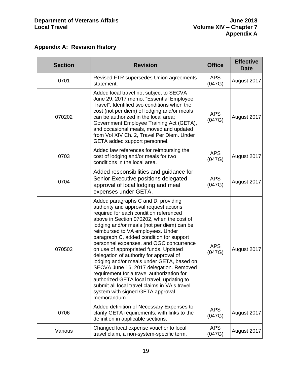<span id="page-19-0"></span>

| <b>Appendix A: Revision History</b> |  |  |
|-------------------------------------|--|--|
|-------------------------------------|--|--|

| <b>Section</b> | <b>Revision</b>                                                                                                                                                                                                                                                                                                                                                                                                                                                                                                                                                                                                                                                                                                           | <b>Office</b>        | <b>Effective</b><br><b>Date</b> |
|----------------|---------------------------------------------------------------------------------------------------------------------------------------------------------------------------------------------------------------------------------------------------------------------------------------------------------------------------------------------------------------------------------------------------------------------------------------------------------------------------------------------------------------------------------------------------------------------------------------------------------------------------------------------------------------------------------------------------------------------------|----------------------|---------------------------------|
| 0701           | Revised FTR supersedes Union agreements<br>statement.                                                                                                                                                                                                                                                                                                                                                                                                                                                                                                                                                                                                                                                                     | <b>APS</b><br>(047G) | August 2017                     |
| 070202         | Added local travel not subject to SECVA<br>June 29, 2017 memo, "Essential Employee<br>Travel". Identified two conditions when the<br>cost (not per diem) of lodging and/or meals<br>can be authorized in the local area;<br>Government Employee Training Act (GETA),<br>and occasional meals, moved and updated<br>from Vol XIV Ch. 2, Travel Per Diem. Under<br>GETA added support personnel.                                                                                                                                                                                                                                                                                                                            | <b>APS</b><br>(047G) | August 2017                     |
| 0703           | Added law references for reimbursing the<br>cost of lodging and/or meals for two<br>conditions in the local area.                                                                                                                                                                                                                                                                                                                                                                                                                                                                                                                                                                                                         | <b>APS</b><br>(047G) | August 2017                     |
| 0704           | Added responsibilities and guidance for<br>Senior Executive positions delegated<br>approval of local lodging and meal<br>expenses under GETA.                                                                                                                                                                                                                                                                                                                                                                                                                                                                                                                                                                             | <b>APS</b><br>(047G) | August 2017                     |
| 070502         | Added paragraphs C and D, providing<br>authority and approval request actions<br>required for each condition referenced<br>above in Section 070202, when the cost of<br>lodging and/or meals (not per diem) can be<br>reimbursed to VA employees. Under<br>paragraph C, added condition for support<br>personnel expenses, and OGC concurrence<br>on use of appropriated funds. Updated<br>delegation of authority for approval of<br>lodging and/or meals under GETA, based on<br>SECVA June 16, 2017 delegation. Removed<br>requirement for a travel authorization for<br>authorized GETA local travel, updating to<br>submit all local travel claims in VA's travel<br>system with signed GETA approval<br>memorandum. | <b>APS</b><br>(047G) | August 2017                     |
| 0706           | Added definition of Necessary Expenses to<br>clarify GETA requirements, with links to the<br>definition in applicable sections.                                                                                                                                                                                                                                                                                                                                                                                                                                                                                                                                                                                           | APS<br>(047G)        | August 2017                     |
| Various        | Changed local expense voucher to local<br>travel claim, a non-system-specific term.                                                                                                                                                                                                                                                                                                                                                                                                                                                                                                                                                                                                                                       | <b>APS</b><br>(047G) | August 2017                     |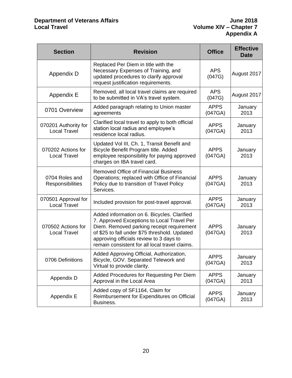#### **Department of Veterans Affairs June 2018 Local Travel Volume XIV – Chapter 7**

| <b>Section</b>                              | <b>Revision</b>                                                                                                                                                                                                                                                                      | <b>Office</b>          | <b>Effective</b><br><b>Date</b> |
|---------------------------------------------|--------------------------------------------------------------------------------------------------------------------------------------------------------------------------------------------------------------------------------------------------------------------------------------|------------------------|---------------------------------|
| Appendix D                                  | Replaced Per Diem in title with the<br>Necessary Expenses of Training, and<br>updated procedures to clarify approval<br>request justification requirements.                                                                                                                          | <b>APS</b><br>(047G)   | August 2017                     |
| Appendix E                                  | Removed, all local travel claims are required<br>to be submitted in VA's travel system.                                                                                                                                                                                              | <b>APS</b><br>(047G)   | August 2017                     |
| 0701 Overview                               | Added paragraph relating to Union master<br>agreements                                                                                                                                                                                                                               | <b>APPS</b><br>(047GA) | January<br>2013                 |
| 070201 Authority for<br><b>Local Travel</b> | Clarified local travel to apply to both official<br>station local radius and employee's<br>residence local radius.                                                                                                                                                                   | <b>APPS</b><br>(047GA) | January<br>2013                 |
| 070202 Actions for<br><b>Local Travel</b>   | Updated Vol III, Ch. 1, Transit Benefit and<br>Bicycle Benefit Program title. Added<br>employee responsibility for paying approved<br>charges on IBA travel card.                                                                                                                    | <b>APPS</b><br>(047GA) | January<br>2013                 |
| 0704 Roles and<br>Responsibilities          | <b>Removed Office of Financial Business</b><br>Operations; replaced with Office of Financial<br>Policy due to transition of Travel Policy<br>Services.                                                                                                                               | <b>APPS</b><br>(047GA) | January<br>2013                 |
| 070501 Approval for<br><b>Local Travel</b>  | Included provision for post-travel approval.                                                                                                                                                                                                                                         | <b>APPS</b><br>(047GA) | January<br>2013                 |
| 070502 Actions for<br><b>Local Travel</b>   | Added information on 6. Bicycles. Clarified<br>7. Approved Exceptions to Local Travel Per<br>Diem. Removed parking receipt requirement<br>of \$25 to fall under \$75 threshold. Updated<br>approving officials review to 3 days to<br>remain consistent for all local travel claims. | <b>APPS</b><br>(047GA) | January<br>2013                 |
| 0706 Definitions                            | Added Approving Official, Authorization,<br>Bicycle, GOV. Separated Telework and<br>Virtual to provide clarity.                                                                                                                                                                      | APPS<br>(047GA)        | January<br>2013                 |
| Appendix D                                  | Added Procedures for Requesting Per Diem<br>Approval in the Local Area                                                                                                                                                                                                               | <b>APPS</b><br>(047GA) | January<br>2013                 |
| Appendix E                                  | Added copy of SF1164, Claim for<br>Reimbursement for Expenditures on Official<br>Business.                                                                                                                                                                                           | <b>APPS</b><br>(047GA) | January<br>2013                 |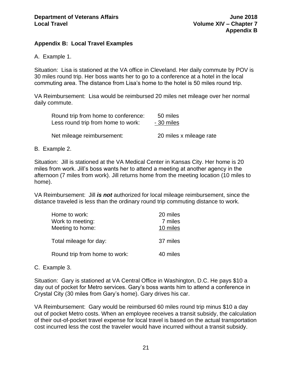#### <span id="page-21-0"></span>**Appendix B: Local Travel Examples**

A. Example 1.

Situation: Lisa is stationed at the VA office in Cleveland. Her daily commute by POV is 30 miles round trip. Her boss wants her to go to a conference at a hotel in the local commuting area. The distance from Lisa's home to the hotel is 50 miles round trip.

VA Reimbursement: Lisa would be reimbursed 20 miles net mileage over her normal daily commute.

| Round trip from home to conference: | 50 miles                |
|-------------------------------------|-------------------------|
| Less round trip from home to work:  | - 30 miles              |
| Net mileage reimbursement:          | 20 miles x mileage rate |

### B. Example 2.

Situation: Jill is stationed at the VA Medical Center in Kansas City. Her home is 20 miles from work. Jill's boss wants her to attend a meeting at another agency in the afternoon (7 miles from work). Jill returns home from the meeting location (10 miles to home).

VA Reimbursement: Jill *is not* authorized for local mileage reimbursement, since the distance traveled is less than the ordinary round trip commuting distance to work.

| Home to work:<br>Work to meeting: | 20 miles<br>7 miles |
|-----------------------------------|---------------------|
| Meeting to home:                  | 10 miles            |
| Total mileage for day:            | 37 miles            |
| Round trip from home to work:     | 40 miles            |

#### C. Example 3.

Situation: Gary is stationed at VA Central Office in Washington, D.C. He pays \$10 a day out of pocket for Metro services. Gary's boss wants him to attend a conference in Crystal City (30 miles from Gary's home). Gary drives his car.

VA Reimbursement: Gary would be reimbursed 60 miles round trip minus \$10 a day out of pocket Metro costs. When an employee receives a transit subsidy, the calculation of their out-of-pocket travel expense for local travel is based on the actual transportation cost incurred less the cost the traveler would have incurred without a transit subsidy.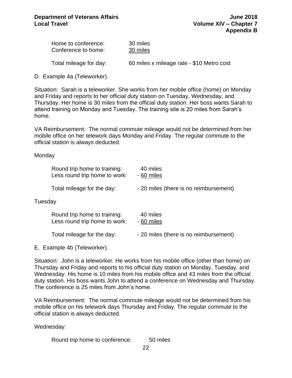| Home to conference: | 30 miles |
|---------------------|----------|
| Conference to home: | 30 miles |

Total mileage for day: 60 miles x mileage rate - \$10 Metro cost

D. Example 4a (Teleworker).

Situation: Sarah is a teleworker. She works from her mobile office (home) on Monday and Friday and reports to her official duty station on Tuesday, Wednesday, and Thursday. Her home is 30 miles from the official duty station. Her boss wants Sarah to attend training on Monday and Tuesday. The training site is 20 miles from Sarah's home.

VA Reimbursement: The normal commute mileage would not be determined from her mobile office on her telework days Monday and Friday. The regular commute to the official station is always deducted.

#### **Monday**

|         | Round trip home to training:<br>Less round trip home to work: | 40 miles<br>- 60 miles                 |
|---------|---------------------------------------------------------------|----------------------------------------|
|         | Total mileage for the day:                                    | - 20 miles (there is no reimbursement) |
| Tuesday |                                                               |                                        |
|         | Round trip home to training:<br>Less round trip home to work: | 40 miles<br>- 60 miles                 |
|         | Total mileage for the day:                                    | - 20 miles (there is no reimbursement) |
|         | E. Example 4b (Teleworker).                                   |                                        |

Situation: John is a teleworker. He works from his mobile office (other than home) on Thursday and Friday and reports to his official duty station on Monday, Tuesday, and Wednesday. His home is 10 miles from his mobile office and 43 miles from the official duty station. His boss wants John to attend a conference on Wednesday and Thursday. The conference is 25 miles from John's home.

VA Reimbursement: The normal commute mileage would not be determined from his mobile office on his telework days Thursday and Friday. The regular commute to the official station is always deducted.

Wednesday:

Round trip home to conference: 50 miles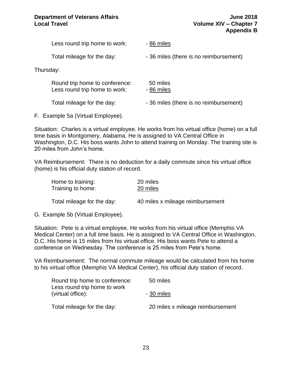Less round trip home to work: -86 miles Total mileage for the day:  $-$  36 miles (there is no reimbursement) Thursday: Round trip home to conference: 50 miles Less round trip home to work: -86 miles Total mileage for the day:  $-$  36 miles (there is no reimbursement)

F. Example 5a (Virtual Employee).

Situation: Charles is a virtual employee. He works from his virtual office (home) on a full time basis in Montgomery, Alabama. He is assigned to VA Central Office in Washington, D.C. His boss wants John to attend training on Monday. The training site is 20 miles from John's home.

VA Reimbursement: There is no deduction for a daily commute since his virtual office (home) is his official duty station of record.

| Home to training:          | 20 miles                         |
|----------------------------|----------------------------------|
| Training to home:          | 20 miles                         |
|                            |                                  |
| Total mileage for the day: | 40 miles x mileage reimbursement |

G. Example 5b (Virtual Employee).

Situation: Pete is a virtual employee. He works from his virtual office (Memphis VA Medical Center) on a full time basis. He is assigned to VA Central Office in Washington, D.C. His home is 15 miles from his virtual office. His boss wants Pete to attend a conference on Wednesday. The conference is 25 miles from Pete's home.

VA Reimbursement: The normal commute mileage would be calculated from his home to his virtual office (Memphis VA Medical Center), his official duty station of record.

| Round trip home to conference:<br>Less round trip home to work | 50 miles                         |
|----------------------------------------------------------------|----------------------------------|
| (virtual office):                                              | - 30 miles                       |
| Total mileage for the day:                                     | 20 miles x mileage reimbursement |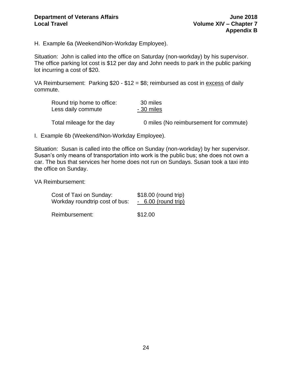H. Example 6a (Weekend/Non-Workday Employee).

Situation: John is called into the office on Saturday (non-workday) by his supervisor. The office parking lot cost is \$12 per day and John needs to park in the public parking lot incurring a cost of \$20.

VA Reimbursement: Parking \$20 - \$12 = \$8; reimbursed as cost in excess of daily commute.

| Round trip home to office: | 30 miles                               |
|----------------------------|----------------------------------------|
| Less daily commute         | - 30 miles                             |
| Total mileage for the day  | 0 miles (No reimbursement for commute) |

I. Example 6b (Weekend/Non-Workday Employee).

Situation: Susan is called into the office on Sunday (non-workday) by her supervisor. Susan's only means of transportation into work is the public bus; she does not own a car. The bus that services her home does not run on Sundays. Susan took a taxi into the office on Sunday.

VA Reimbursement:

| Cost of Taxi on Sunday:        | \$18.00 (round trip) |
|--------------------------------|----------------------|
| Workday roundtrip cost of bus: | $-6.00$ (round trip) |
| Reimbursement:                 | \$12.00              |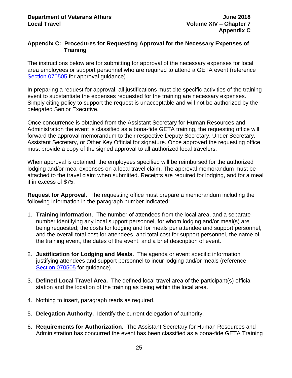#### <span id="page-25-0"></span>**Appendix C: Procedures for Requesting Approval for the Necessary Expenses of Training**

The instructions below are for submitting for approval of the necessary expenses for local area employees or support personnel who are required to attend a GETA event (reference [Section 070505](#page-11-0) for approval quidance).

In preparing a request for approval, all justifications must cite specific activities of the training event to substantiate the expenses requested for the training are necessary expenses. Simply citing policy to support the request is unacceptable and will not be authorized by the delegated Senior Executive.

Once concurrence is obtained from the Assistant Secretary for Human Resources and Administration the event is classified as a bona-fide GETA training, the requesting office will forward the approval memorandum to their respective Deputy Secretary, Under Secretary, Assistant Secretary, or Other Key Official for signature. Once approved the requesting office must provide a copy of the signed approval to all authorized local travelers.

When approval is obtained, the employees specified will be reimbursed for the authorized lodging and/or meal expenses on a local travel claim. The approval memorandum must be attached to the travel claim when submitted. Receipts are required for lodging, and for a meal if in excess of \$75.

**Request for Approval.** The requesting office must prepare a memorandum including the following information in the paragraph number indicated:

- 1. **Training Information**. The number of attendees from the local area, and a separate number identifying any local support personnel, for whom lodging and/or meal(s) are being requested; the costs for lodging and for meals per attendee and support personnel, and the overall total cost for attendees, and total cost for support personnel, the name of the training event, the dates of the event, and a brief description of event.
- 2. **Justification for Lodging and Meals.** The agenda or event specific information justifying attendees and support personnel to incur lodging and/or meals (reference [Section 070505](#page-11-0) for guidance).
- 3. **Defined Local Travel Area.** The defined local travel area of the participant(s) official station and the location of the training as being within the local area.
- 4. Nothing to insert, paragraph reads as required.
- 5. **Delegation Authority.** Identify the current delegation of authority.
- 6. **Requirements for Authorization.** The Assistant Secretary for Human Resources and Administration has concurred the event has been classified as a bona-fide GETA Training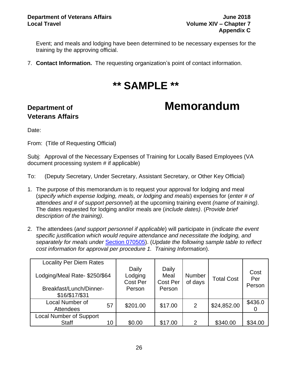Event; and meals and lodging have been determined to be necessary expenses for the training by the approving official.

7. **Contact Information.** The requesting organization's point of contact information.

### **\*\* SAMPLE \*\***

### **Department of Contract Contract Contract Memorandum**

# **Veterans Affairs**

Date:

From: (Title of Requesting Official)

Subj: Approval of the Necessary Expenses of Training for Locally Based Employees (VA document processing system # if applicable)

To: (Deputy Secretary, Under Secretary, Assistant Secretary, or Other Key Official)

- 1. The purpose of this memorandum is to request your approval for lodging and meal (*specify which expense lodging, meals, or lodging and meals*) expenses for (*enter # of attendees and # of support personnel*) at the upcoming training event *(name of training)*. The dates requested for lodging and/or meals are (*include dates)*. (*Provide brief description of the training)*.
- 2. The attendees (*and support personnel if applicable*) will participate in (*indicate the event specific justification which would require attendance and necessitate the lodging, and separately for meals under* [Section 070505\)](#page-11-0). (*Update the following sample table to reflect cost information for approval per procedure 1. Training Information*).

| <b>Locality Per Diem Rates</b><br>Lodging/Meal Rate-\$250/\$64 |    | Daily<br>Lodging          | Daily<br>Meal      | <b>Number</b> | <b>Total Cost</b> | Cost<br>Per |
|----------------------------------------------------------------|----|---------------------------|--------------------|---------------|-------------------|-------------|
| Breakfast/Lunch/Dinner-<br>\$16/\$17/\$31                      |    | <b>Cost Per</b><br>Person | Cost Per<br>Person | of days       |                   | Person      |
| Local Number of<br><b>Attendees</b>                            | 57 | \$201.00                  | \$17.00            | 2             | \$24,852.00       | \$436.0     |
| <b>Local Number of Support</b><br><b>Staff</b>                 | 10 | \$0.00                    | \$17.00            | $\mathcal{P}$ | \$340.00          | \$34.00     |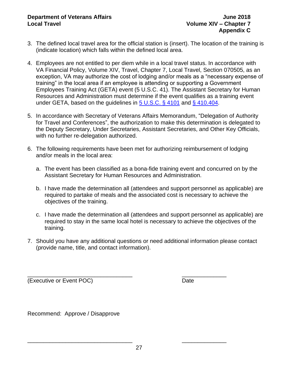- 3. The defined local travel area for the official station is (insert). The location of the training is (indicate location) which falls within the defined local area.
- 4. Employees are not entitled to per diem while in a local travel status. In accordance with VA Financial Policy, Volume XIV, Travel, Chapter 7, Local Travel, Section 070505, as an exception, VA may authorize the cost of lodging and/or meals as a "necessary expense of training" in the local area if an employee is attending or supporting a Government Employees Training Act (GETA) event (5 U.S.C. 41). The Assistant Secretary for Human Resources and Administration must determine if the event qualifies as a training event under GETA, based on the guidelines in [5 U.S.C. § 4101](https://www.gpo.gov/fdsys/pkg/USCODE-1994-title5/pdf/USCODE-1994-title5-partIII-subpartC-chap41-sec4101.pdf) and [§ 410.404.](https://www.gpo.gov/fdsys/pkg/CFR-2012-title5-vol1/pdf/CFR-2012-title5-vol1-part410.pdf)
- 5. In accordance with Secretary of Veterans Affairs Memorandum, "Delegation of Authority for Travel and Conferences", the authorization to make this determination is delegated to the Deputy Secretary, Under Secretaries, Assistant Secretaries, and Other Key Officials, with no further re-delegation authorized.
- 6. The following requirements have been met for authorizing reimbursement of lodging and/or meals in the local area:
	- a. The event has been classified as a bona-fide training event and concurred on by the Assistant Secretary for Human Resources and Administration.
	- b. I have made the determination all (attendees and support personnel as applicable) are required to partake of meals and the associated cost is necessary to achieve the objectives of the training.
	- c. I have made the determination all (attendees and support personnel as applicable) are required to stay in the same local hotel is necessary to achieve the objectives of the training.
- 7. Should you have any additional questions or need additional information please contact (provide name, title, and contact information).

\_\_\_\_\_\_\_\_\_\_\_\_\_\_\_\_\_\_\_\_\_\_\_\_\_\_\_\_\_\_\_\_\_ \_\_\_\_\_\_\_\_\_\_\_\_\_\_ (Executive or Event POC) Date

Recommend: Approve / Disapprove

\_\_\_\_\_\_\_\_\_\_\_\_\_\_\_\_\_\_\_\_\_\_\_\_\_\_\_\_\_\_\_\_\_ \_\_\_\_\_\_\_\_\_\_\_\_\_\_